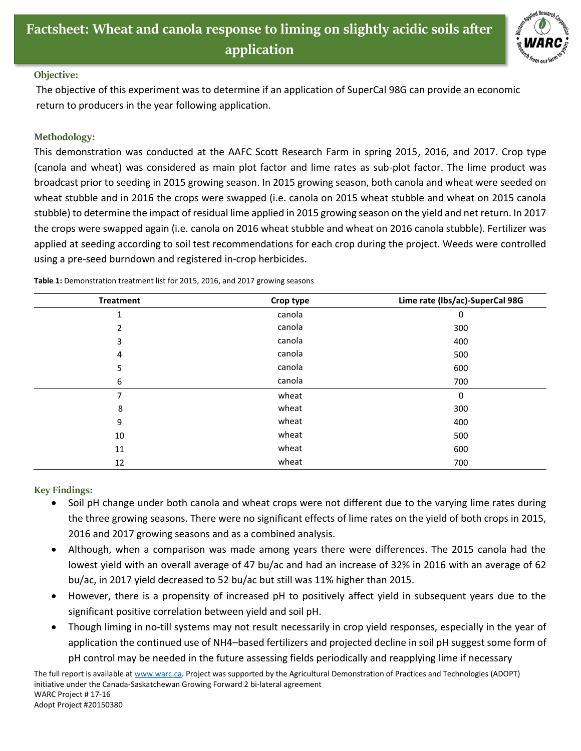

## **Objective:**

The objective of this experiment was to determine if an application of SuperCal 98G can provide an economic return to producers in the year following application.

## **Methodology:**

This demonstration was conducted at the AAFC Scott Research Farm in spring 2015, 2016, and 2017. Crop type (canola and wheat) was considered as main plot factor and lime rates as sub-plot factor. The lime product was broadcast prior to seeding in 2015 growing season. In 2015 growing season, both canola and wheat were seeded on wheat stubble and in 2016 the crops were swapped (i.e. canola on 2015 wheat stubble and wheat on 2015 canola stubble) to determine the impact of residual lime applied in 2015 growing season on the yield and net return. In 2017 the crops were swapped again (i.e. canola on 2016 wheat stubble and wheat on 2016 canola stubble). Fertilizer was applied at seeding according to soil test recommendations for each crop during the project. Weeds were controlled using a pre-seed burndown and registered in-crop herbicides.

| <b>Treatment</b> | Crop type | Lime rate (lbs/ac)-SuperCal 98G |
|------------------|-----------|---------------------------------|
| 1                | canola    | 0                               |
| 2                | canola    | 300                             |
| 3                | canola    | 400                             |
| 4                | canola    | 500                             |
| 5                | canola    | 600                             |
| 6                | canola    | 700                             |
| 7                | wheat     | 0                               |
| 8                | wheat     | 300                             |
| 9                | wheat     | 400                             |
| 10               | wheat     | 500                             |
| 11               | wheat     | 600                             |
| 12               | wheat     | 700                             |

**Table 1:** Demonstration treatment list for 2015, 2016, and 2017 growing seasons

**Key Findings:**

- Soil pH change under both canola and wheat crops were not different due to the varying lime rates during the three growing seasons. There were no significant effects of lime rates on the yield of both crops in 2015, 2016 and 2017 growing seasons and as a combined analysis.
- Although, when a comparison was made among years there were differences. The 2015 canola had the lowest yield with an overall average of 47 bu/ac and had an increase of 32% in 2016 with an average of 62 bu/ac, in 2017 yield decreased to 52 bu/ac but still was 11% higher than 2015.
- However, there is a propensity of increased pH to positively affect yield in subsequent years due to the significant positive correlation between yield and soil pH.
- Though liming in no-till systems may not result necessarily in crop yield responses, especially in the year of application the continued use of NH4–based fertilizers and projected decline in soil pH suggest some form of pH control may be needed in the future assessing fields periodically and reapplying lime if necessary